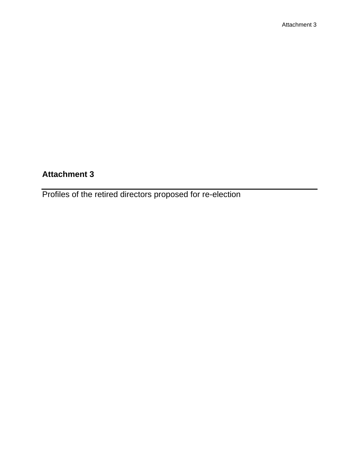Profiles of the retired directors proposed for re-election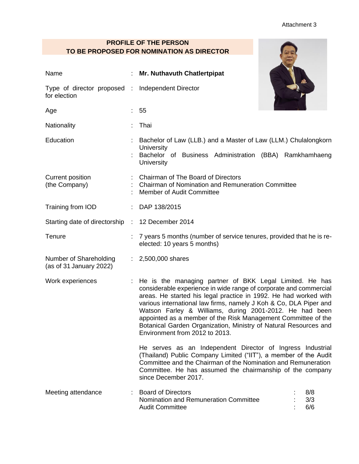### **PROFILE OF THE PERSON TO BE PROPOSED FOR NOMINATION AS DIRECTOR**

| Name                                              | Mr. Nuthavuth Chatlertpipat                                                                                                                                                                                                                                                                                                                                                                                                                                                                               |  |  |
|---------------------------------------------------|-----------------------------------------------------------------------------------------------------------------------------------------------------------------------------------------------------------------------------------------------------------------------------------------------------------------------------------------------------------------------------------------------------------------------------------------------------------------------------------------------------------|--|--|
| Type of director proposed :<br>for election       | Independent Director                                                                                                                                                                                                                                                                                                                                                                                                                                                                                      |  |  |
| Age                                               | 55                                                                                                                                                                                                                                                                                                                                                                                                                                                                                                        |  |  |
| Nationality                                       | Thai                                                                                                                                                                                                                                                                                                                                                                                                                                                                                                      |  |  |
| Education                                         | Bachelor of Law (LLB.) and a Master of Law (LLM.) Chulalongkorn<br>University<br>Bachelor of Business Administration (BBA) Ramkhamhaeng<br>University                                                                                                                                                                                                                                                                                                                                                     |  |  |
| Current position<br>(the Company)                 | Chairman of The Board of Directors<br>: Chairman of Nomination and Remuneration Committee<br><b>Member of Audit Committee</b>                                                                                                                                                                                                                                                                                                                                                                             |  |  |
| Training from IOD                                 | : DAP 138/2015                                                                                                                                                                                                                                                                                                                                                                                                                                                                                            |  |  |
| Starting date of directorship : 12 December 2014  |                                                                                                                                                                                                                                                                                                                                                                                                                                                                                                           |  |  |
| Tenure                                            | 7 years 5 months (number of service tenures, provided that he is re-<br>elected: 10 years 5 months)                                                                                                                                                                                                                                                                                                                                                                                                       |  |  |
| Number of Shareholding<br>(as of 31 January 2022) | : $2,500,000$ shares                                                                                                                                                                                                                                                                                                                                                                                                                                                                                      |  |  |
| Work experiences                                  | : He is the managing partner of BKK Legal Limited. He has<br>considerable experience in wide range of corporate and commercial<br>areas. He started his legal practice in 1992. He had worked with<br>various international law firms, namely J Koh & Co, DLA Piper and<br>Watson Farley & Williams, during 2001-2012. He had been<br>appointed as a member of the Risk Management Committee of the<br>Botanical Garden Organization, Ministry of Natural Resources and<br>Environment from 2012 to 2013. |  |  |
|                                                   | He serves as an Independent Director of Ingress Industrial<br>(Thailand) Public Company Limited ("IIT"), a member of the Audit<br>Committee and the Chairman of the Nomination and Remuneration<br>Committee. He has assumed the chairmanship of the company<br>since December 2017.                                                                                                                                                                                                                      |  |  |
| Meeting attendance                                | : Board of Directors<br>8/8<br>Nomination and Remuneration Committee<br>3/3<br>6/6<br><b>Audit Committee</b>                                                                                                                                                                                                                                                                                                                                                                                              |  |  |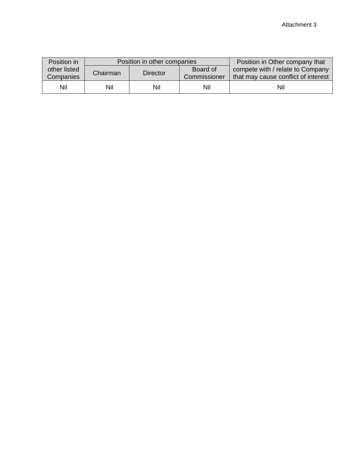| Position in  |          | Position in other companies | Position in Other company that |                                     |  |
|--------------|----------|-----------------------------|--------------------------------|-------------------------------------|--|
| other listed | Chairman | Director                    | Board of                       | compete with / relate to Company    |  |
| Companies    |          |                             | Commissioner                   | that may cause conflict of interest |  |
| Nil          | Nil      | Nil                         | Nil                            | Nil                                 |  |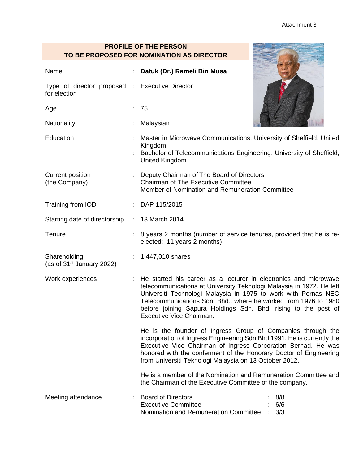### **PROFILE OF THE PERSON TO BE PROPOSED FOR NOMINATION AS DIRECTOR**

| Name                                                           |  | Datuk (Dr.) Rameli Bin Musa                                                                                                                                                                                                                                                                                                                                                                                                                                                                                                                                                                                                                                                                                          |  |  |
|----------------------------------------------------------------|--|----------------------------------------------------------------------------------------------------------------------------------------------------------------------------------------------------------------------------------------------------------------------------------------------------------------------------------------------------------------------------------------------------------------------------------------------------------------------------------------------------------------------------------------------------------------------------------------------------------------------------------------------------------------------------------------------------------------------|--|--|
| Type of director proposed : Executive Director<br>for election |  |                                                                                                                                                                                                                                                                                                                                                                                                                                                                                                                                                                                                                                                                                                                      |  |  |
| Age                                                            |  | 75                                                                                                                                                                                                                                                                                                                                                                                                                                                                                                                                                                                                                                                                                                                   |  |  |
| Nationality                                                    |  | Malaysian                                                                                                                                                                                                                                                                                                                                                                                                                                                                                                                                                                                                                                                                                                            |  |  |
| Education                                                      |  | Master in Microwave Communications, University of Sheffield, United<br>Kingdom<br>Bachelor of Telecommunications Engineering, University of Sheffield,<br><b>United Kingdom</b>                                                                                                                                                                                                                                                                                                                                                                                                                                                                                                                                      |  |  |
| Current position<br>(the Company)                              |  | Deputy Chairman of The Board of Directors<br><b>Chairman of The Executive Committee</b><br>Member of Nomination and Remuneration Committee                                                                                                                                                                                                                                                                                                                                                                                                                                                                                                                                                                           |  |  |
| Training from IOD                                              |  | : DAP 115/2015                                                                                                                                                                                                                                                                                                                                                                                                                                                                                                                                                                                                                                                                                                       |  |  |
| Starting date of directorship                                  |  | : 13 March 2014                                                                                                                                                                                                                                                                                                                                                                                                                                                                                                                                                                                                                                                                                                      |  |  |
| Tenure                                                         |  | 8 years 2 months (number of service tenures, provided that he is re-<br>elected: 11 years 2 months)                                                                                                                                                                                                                                                                                                                                                                                                                                                                                                                                                                                                                  |  |  |
| Shareholding<br>(as of $31st$ January 2022)                    |  | 1,447,010 shares                                                                                                                                                                                                                                                                                                                                                                                                                                                                                                                                                                                                                                                                                                     |  |  |
| Work experiences                                               |  | He started his career as a lecturer in electronics and microwave<br>telecommunications at University Teknologi Malaysia in 1972. He left<br>Universiti Technologi Malaysia in 1975 to work with Pernas NEC<br>Telecommunications Sdn. Bhd., where he worked from 1976 to 1980<br>before joining Sapura Holdings Sdn. Bhd. rising to the post of<br>Executive Vice Chairman.<br>He is the founder of Ingress Group of Companies through the<br>incorporation of Ingress Engineering Sdn Bhd 1991. He is currently the<br>Executive Vice Chairman of Ingress Corporation Berhad. He was<br>honored with the conferment of the Honorary Doctor of Engineering<br>from Universiti Teknologi Malaysia on 13 October 2012. |  |  |
|                                                                |  |                                                                                                                                                                                                                                                                                                                                                                                                                                                                                                                                                                                                                                                                                                                      |  |  |
|                                                                |  | He is a member of the Nomination and Remuneration Committee and<br>the Chairman of the Executive Committee of the company.                                                                                                                                                                                                                                                                                                                                                                                                                                                                                                                                                                                           |  |  |
| Meeting attendance                                             |  | <b>Board of Directors</b><br>8/8<br><b>Executive Committee</b><br>6/6<br>Nomination and Remuneration Committee<br>3/3                                                                                                                                                                                                                                                                                                                                                                                                                                                                                                                                                                                                |  |  |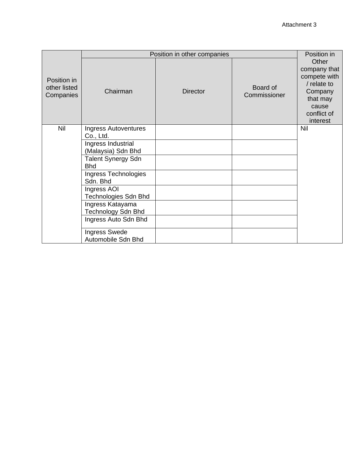|                                          | Position in other companies                | Position in     |                          |                                                                                                                 |
|------------------------------------------|--------------------------------------------|-----------------|--------------------------|-----------------------------------------------------------------------------------------------------------------|
| Position in<br>other listed<br>Companies | Chairman                                   | <b>Director</b> | Board of<br>Commissioner | Other<br>company that<br>compete with<br>/ relate to<br>Company<br>that may<br>cause<br>conflict of<br>interest |
| Nil                                      | <b>Ingress Autoventures</b><br>Co., Ltd.   |                 |                          | <b>Nil</b>                                                                                                      |
|                                          | Ingress Industrial                         |                 |                          |                                                                                                                 |
|                                          | (Malaysia) Sdn Bhd                         |                 |                          |                                                                                                                 |
|                                          | Talent Synergy Sdn<br><b>Bhd</b>           |                 |                          |                                                                                                                 |
|                                          | Ingress Technologies<br>Sdn. Bhd           |                 |                          |                                                                                                                 |
|                                          | Ingress AOI<br>Technologies Sdn Bhd        |                 |                          |                                                                                                                 |
|                                          | Ingress Katayama<br>Technology Sdn Bhd     |                 |                          |                                                                                                                 |
|                                          | Ingress Auto Sdn Bhd                       |                 |                          |                                                                                                                 |
|                                          | <b>Ingress Swede</b><br>Automobile Sdn Bhd |                 |                          |                                                                                                                 |